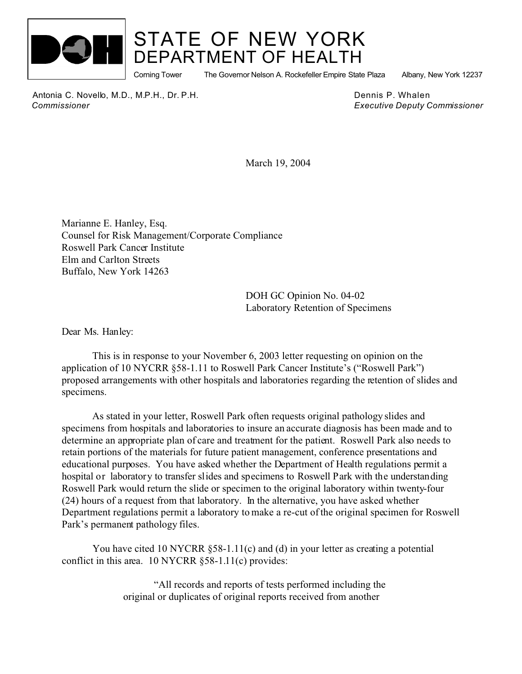

## STATE OF NEW YORK DEPARTMENT OF HEALTH

Corning Tower The Governor Nelson A. Rockefeller Empire State Plaza Albany, New York 12237

Antonia C. Novello, M.D., M.P.H., Dr. P.H. Dennis P. Whalen  *Commissioner Executive Deputy Commissioner*

March 19, 2004

Marianne E. Hanley, Esq. Counsel for Risk Management/Corporate Compliance Roswell Park Cancer Institute Elm and Carlton Streets Buffalo, New York 14263

> DOH GC Opinion No. 04-02 Laboratory Retention of Specimens

Dear Ms. Hanley:

This is in response to your November 6, 2003 letter requesting on opinion on the application of 10 NYCRR §58-1.11 to Roswell Park Cancer Institute's ("Roswell Park") proposed arrangements with other hospitals and laboratories regarding the retention of slides and specimens.

As stated in your letter, Roswell Park often requests original pathology slides and specimens from hospitals and laboratories to insure an accurate diagnosis has been made and to determine an appropriate plan of care and treatment for the patient. Roswell Park also needs to retain portions of the materials for future patient management, conference presentations and educational purposes. You have asked whether the Department of Health regulations permit a hospital or laboratory to transfer slides and specimens to Roswell Park with the understanding Roswell Park would return the slide or specimen to the original laboratory within twenty-four (24) hours of a request from that laboratory. In the alternative, you have asked whether Department regulations permit a laboratory to make a re-cut of the original specimen for Roswell Park's permanent pathology files.

You have cited 10 NYCRR  $\S$ 58-1.11(c) and (d) in your letter as creating a potential conflict in this area. 10 NYCRR §58-1.11(c) provides:

> "All records and reports of tests performed including the original or duplicates of original reports received from another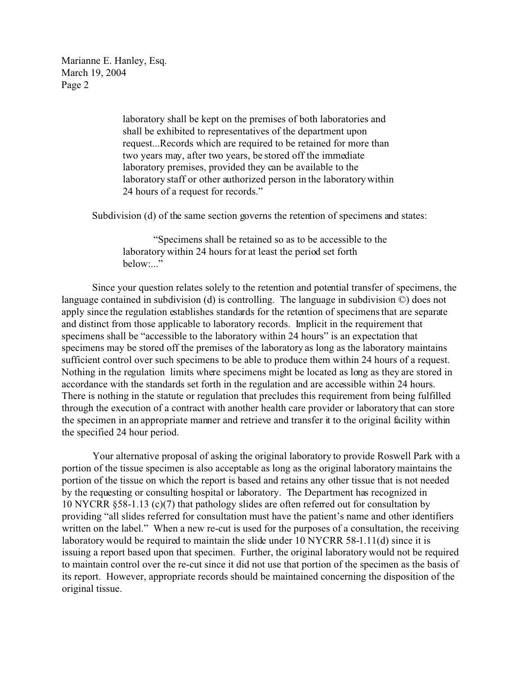Marianne E. Hanley, Esq. March 19, 2004 Page 2

> laboratory shall be kept on the premises of both laboratories and shall be exhibited to representatives of the department upon request...Records which are required to be retained for more than two years may, after two years, be stored off the immediate laboratory premises, provided they can be available to the laboratory staff or other authorized person in the laboratory within 24 hours of a request for records."

Subdivision (d) of the same section governs the retention of specimens and states:

"Specimens shall be retained so as to be accessible to the laboratory within 24 hours for at least the period set forth below:..."

Since your question relates solely to the retention and potential transfer of specimens, the language contained in subdivision (d) is controlling. The language in subdivision ©) does not apply since the regulation establishes standards for the retention of specimens that are separate and distinct from those applicable to laboratory records. Implicit in the requirement that specimens shall be "accessible to the laboratory within 24 hours" is an expectation that specimens may be stored off the premises of the laboratory as long as the laboratory maintains sufficient control over such specimens to be able to produce them within 24 hours of a request. Nothing in the regulation limits where specimens might be located as long as they are stored in accordance with the standards set forth in the regulation and are accessible within 24 hours. There is nothing in the statute or regulation that precludes this requirement from being fulfilled through the execution of a contract with another health care provider or laboratory that can store the specimen in an appropriate manner and retrieve and transfer it to the original facility within the specified 24 hour period.

Your alternative proposal of asking the original laboratory to provide Roswell Park with a portion of the tissue specimen is also acceptable as long as the original laboratory maintains the portion of the tissue on which the report is based and retains any other tissue that is not needed by the requesting or consulting hospital or laboratory. The Department has recognized in 10 NYCRR §58-1.13 (c)(7) that pathology slides are often referred out for consultation by providing "all slides referred for consultation must have the patient's name and other identifiers written on the label." When a new re-cut is used for the purposes of a consultation, the receiving laboratory would be required to maintain the slide under 10 NYCRR 58-1.11(d) since it is issuing a report based upon that specimen. Further, the original laboratory would not be required to maintain control over the re-cut since it did not use that portion of the specimen as the basis of its report. However, appropriate records should be maintained concerning the disposition of the original tissue.